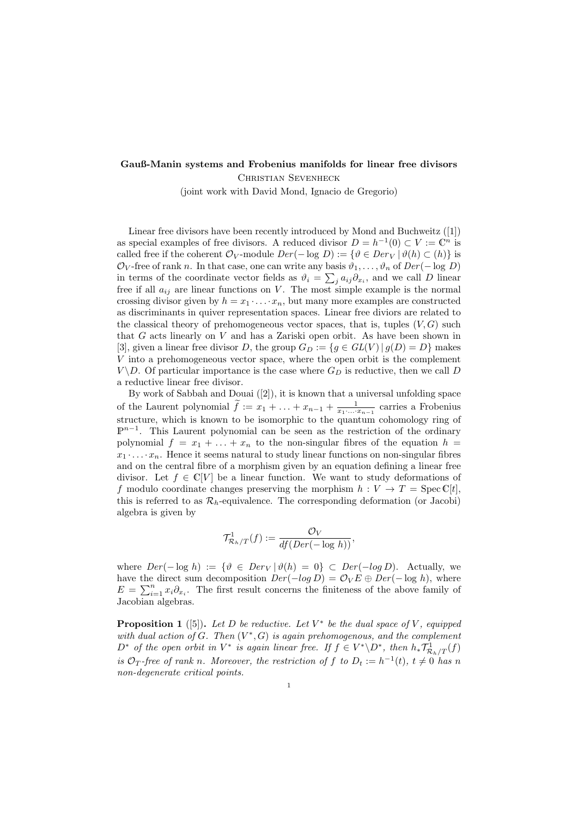## **Gauß-Manin systems and Frobenius manifolds for linear free divisors** Christian Sevenheck

(joint work with David Mond, Ignacio de Gregorio)

Linear free divisors have been recently introduced by Mond and Buchweitz ([1]) as special examples of free divisors. A reduced divisor  $D = h^{-1}(0) \subset V := \mathbb{C}^n$  is called free if the coherent  $\mathcal{O}_V$ -module  $Der(-\log D) := \{ \vartheta \in Der_V | \vartheta(h) \subset (h) \}$  is  $\mathcal{O}_V$ -free of rank *n*. In that case, one can write any basis  $\vartheta_1, \ldots, \vartheta_n$  of  $Der(-\log D)$ in terms of the coordinate vector fields as  $\vartheta_i = \sum_j a_{ij} \partial_{x_i}$ , and we call *D* linear free if all  $a_{ij}$  are linear functions on *V*. The most simple example is the normal crossing divisor given by  $h = x_1 \cdot \ldots \cdot x_n$ , but many more examples are constructed as discriminants in quiver representation spaces. Linear free diviors are related to the classical theory of prehomogeneous vector spaces, that is, tuples  $(V, G)$  such that *G* acts linearly on *V* and has a Zariski open orbit. As have been shown in [3], given a linear free divisor *D*, the group  $G_D := \{ g \in GL(V) \mid g(D) = D \}$  makes *V* into a prehomogeneous vector space, where the open orbit is the complement  $V \ D$ . Of particular importance is the case where  $G_D$  is reductive, then we call *D* a reductive linear free divisor.

By work of Sabbah and Douai ([2]), it is known that a universal unfolding space of the Laurent polynomial  $\tilde{f} := x_1 + \ldots + x_{n-1} + \frac{1}{x_1 \ldots x_{n-1}}$  carries a Frobenius structure, which is known to be isomorphic to the quantum cohomology ring of P<sup>n<sup>−1</sup>. This Laurent polynomial can be seen as the restriction of the ordinary</sup> polynomial  $f = x_1 + \ldots + x_n$  to the non-singular fibres of the equation  $h =$  $x_1 \cdot \ldots \cdot x_n$ . Hence it seems natural to study linear functions on non-singular fibres and on the central fibre of a morphism given by an equation defining a linear free divisor. Let  $f \in \mathbb{C}[V]$  be a linear function. We want to study deformations of *f* modulo coordinate changes preserving the morphism  $h: V \to T = \text{Spec } \mathbb{C}[t],$ this is referred to as  $\mathcal{R}_h$ -equivalence. The corresponding deformation (or Jacobi) algebra is given by

$$
\mathcal{T}^1_{\mathcal{R}_h/T}(f) := \frac{\mathcal{O}_V}{df(Der(-\log h))},
$$

where  $Der(-\log h) := \{ \vartheta \in Der_V | \vartheta(h) = 0 \} \subset Der(-\log D)$ . Actually, we have the direct sum decomposition  $Der(-log D) = \mathcal{O}_V E \oplus Der(-log h)$ , where  $E = \sum_{i=1}^{n} x_i \partial_{x_i}$ . The first result concerns the finiteness of the above family of Jacobian algebras.

**Proposition 1** ([5]). Let D be reductive. Let  $V^*$  be the dual space of V, equipped *with dual action of*  $G$ *. Then*  $(V^*, G)$  *is again prehomogenous, and the complement*  $D^*$  of the open orbit in  $V^*$  is again linear free. If  $f \in V^* \backslash D^*$ , then  $h_* \mathcal{T}_{\mathcal{R}_h/T}^1(f)$ *is*  $\mathcal{O}_T$ -free of rank *n*. Moreover, the restriction of f to  $D_t := h^{-1}(t)$ ,  $t \neq 0$  has *n non-degenerate critical points.*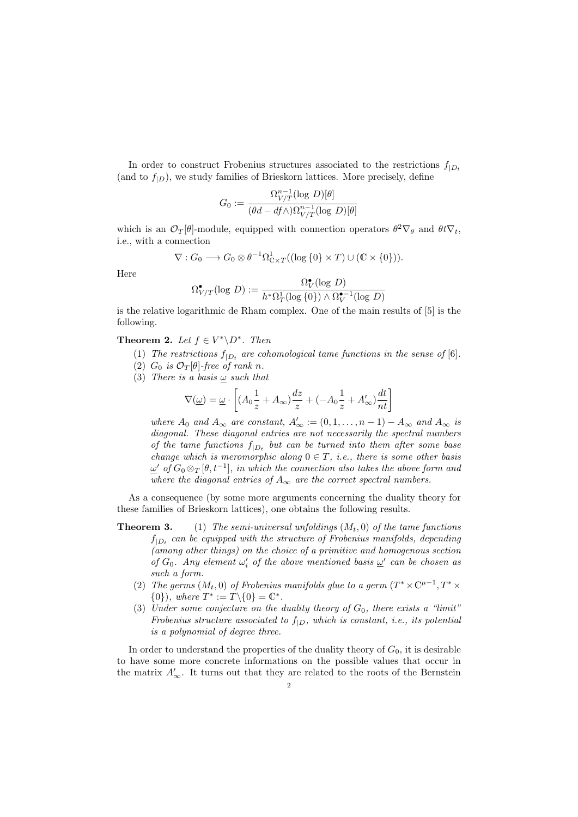In order to construct Frobenius structures associated to the restrictions  $f_{D}$ (and to  $f_{|D}$ ), we study families of Brieskorn lattices. More precisely, define

$$
G_0 := \frac{\Omega_{V/T}^{n-1}(\log D)[\theta]}{(\theta d - df \wedge)\Omega_{V/T}^{n-1}(\log D)[\theta]}
$$

which is an  $\mathcal{O}_T[\theta]$ -module, equipped with connection operators  $\theta^2 \nabla_{\theta}$  and  $\theta t \nabla_t$ , i.e., with a connection

$$
\nabla: G_0 \longrightarrow G_0 \otimes \theta^{-1} \Omega^1_{\mathbb{C} \times T}((\log \{0\} \times T) \cup (\mathbb{C} \times \{0\})).
$$

Here

$$
\Omega^{\bullet}_{V/T}(\log D) := \frac{\Omega^{\bullet}_{V}(\log D)}{h^*\Omega^1_T(\log\{0\}) \wedge \Omega^{\bullet-1}_{V}(\log D)}
$$

is the relative logarithmic de Rham complex. One of the main results of [5] is the following.

**Theorem 2.** *Let*  $f \in V^* \backslash D^*$ *. Then* 

- (1) The restrictions  $f_{|D_t}$  are cohomological tame functions in the sense of [6].
- (2)  $G_0$  *is*  $\mathcal{O}_T[\theta]$ -free of rank *n*.
- (3) *There is a basis ω such that*

$$
\nabla(\underline{\omega})=\underline{\omega}\cdot\left[(A_0\frac{1}{z}+A_{\infty})\frac{dz}{z}+(-A_0\frac{1}{z}+A'_{\infty})\frac{dt}{nt}\right]
$$

*where*  $A_0$  *and*  $A_\infty$  *are constant,*  $A'_\infty := (0, 1, \ldots, n-1) - A_\infty$  *and*  $A_\infty$  *is diagonal. These diagonal entries are not necessarily the spectral numbers of the tame functions*  $f_{|D_t}$  *but can be turned into them after some base change which is meromorphic along*  $0 \in T$ *, i.e., there is some other basis*  $\omega'$  of  $G_0 \otimes_T [\theta, t^{-1}]$ *, in which the connection also takes the above form and where the diagonal entries of*  $A_\infty$  *are the correct spectral numbers.* 

As a consequence (by some more arguments concerning the duality theory for these families of Brieskorn lattices), one obtains the following results.

- **Theorem 3.** (1) *The semi-universal unfoldings* (*Mt,* 0) *of the tame functions*  $f_{|D_t}$  can be equipped with the structure of Frobenius manifolds, depending *(among other things) on the choice of a primitive and homogenous section of*  $G_0$ . Any element  $\omega'_i$  of the above mentioned basis  $\underline{\omega}'$  can be chosen as *such a form.*
	- (2) *The germs*  $(M_t, 0)$  *of Frobenius manifolds glue to a germ*  $(T^* \times C^{\mu-1}, T^* \times$  $\{0\}$ *), where*  $T^* := T \setminus \{0\} = \mathbb{C}^*$ *.*
	- (3) *Under some conjecture on the duality theory of G*0*, there exists a "limit" Frobenius structure associated to f|<sup>D</sup>, which is constant, i.e., its potential is a polynomial of degree three.*

In order to understand the properties of the duality theory of  $G_0$ , it is desirable to have some more concrete informations on the possible values that occur in the matrix  $A'_{\infty}$ . It turns out that they are related to the roots of the Bernstein